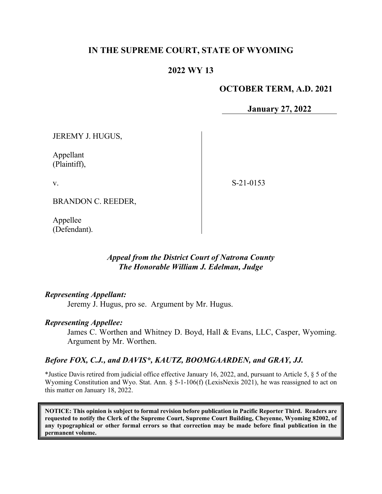# **IN THE SUPREME COURT, STATE OF WYOMING**

# **2022 WY 13**

## **OCTOBER TERM, A.D. 2021**

**January 27, 2022**

JEREMY J. HUGUS,

Appellant (Plaintiff),

v.

S-21-0153

BRANDON C. REEDER,

Appellee (Defendant).

## *Appeal from the District Court of Natrona County The Honorable William J. Edelman, Judge*

### *Representing Appellant:*

Jeremy J. Hugus, pro se. Argument by Mr. Hugus.

#### *Representing Appellee:*

James C. Worthen and Whitney D. Boyd, Hall & Evans, LLC, Casper, Wyoming. Argument by Mr. Worthen.

### *Before FOX, C.J., and DAVIS\*, KAUTZ, BOOMGAARDEN, and GRAY, JJ.*

\*Justice Davis retired from judicial office effective January 16, 2022, and, pursuant to Article 5, § 5 of the Wyoming Constitution and Wyo. Stat. Ann. § 5-1-106(f) (LexisNexis 2021), he was reassigned to act on this matter on January 18, 2022.

**NOTICE: This opinion is subject to formal revision before publication in Pacific Reporter Third. Readers are requested to notify the Clerk of the Supreme Court, Supreme Court Building, Cheyenne, Wyoming 82002, of any typographical or other formal errors so that correction may be made before final publication in the permanent volume.**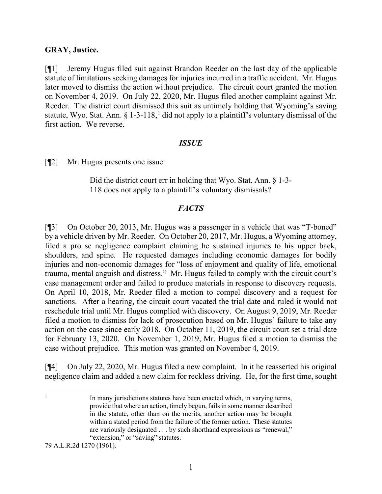### **GRAY, Justice.**

[¶1] Jeremy Hugus filed suit against Brandon Reeder on the last day of the applicable statute of limitations seeking damages for injuries incurred in a traffic accident. Mr. Hugus later moved to dismiss the action without prejudice. The circuit court granted the motion on November 4, 2019. On July 22, 2020, Mr. Hugus filed another complaint against Mr. Reeder. The district court dismissed this suit as untimely holding that Wyoming's saving statute, Wyo. Stat. Ann.  $\S 1-3-118$  $\S 1-3-118$  $\S 1-3-118$ , did not apply to a plaintiff's voluntary dismissal of the first action. We reverse.

#### *ISSUE*

[¶2] Mr. Hugus presents one issue:

Did the district court err in holding that Wyo. Stat. Ann. § 1-3- 118 does not apply to a plaintiff's voluntary dismissals?

### *FACTS*

[¶3] On October 20, 2013, Mr. Hugus was a passenger in a vehicle that was "T-boned" by a vehicle driven by Mr. Reeder. On October 20, 2017, Mr. Hugus, a Wyoming attorney, filed a pro se negligence complaint claiming he sustained injuries to his upper back, shoulders, and spine. He requested damages including economic damages for bodily injuries and non-economic damages for "loss of enjoyment and quality of life, emotional trauma, mental anguish and distress." Mr. Hugus failed to comply with the circuit court's case management order and failed to produce materials in response to discovery requests. On April 10, 2018, Mr. Reeder filed a motion to compel discovery and a request for sanctions. After a hearing, the circuit court vacated the trial date and ruled it would not reschedule trial until Mr. Hugus complied with discovery. On August 9, 2019, Mr. Reeder filed a motion to dismiss for lack of prosecution based on Mr. Hugus' failure to take any action on the case since early 2018. On October 11, 2019, the circuit court set a trial date for February 13, 2020. On November 1, 2019, Mr. Hugus filed a motion to dismiss the case without prejudice. This motion was granted on November 4, 2019.

[¶4] On July 22, 2020, Mr. Hugus filed a new complaint. In it he reasserted his original negligence claim and added a new claim for reckless driving. He, for the first time, sought

<span id="page-1-0"></span><sup>1</sup> In many jurisdictions statutes have been enacted which, in varying terms, provide that where an action, timely begun, fails in some manner described in the statute, other than on the merits, another action may be brought within a stated period from the failure of the former action. These statutes are variously designated . . . by such shorthand expressions as "renewal," "extension," or "saving" statutes.

79 A.L.R.2d 1270 (1961).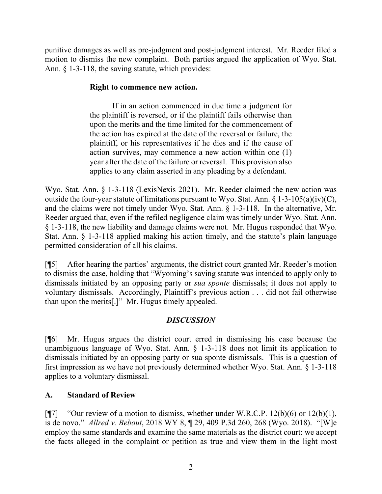punitive damages as well as pre-judgment and post-judgment interest. Mr. Reeder filed a motion to dismiss the new complaint. Both parties argued the application of Wyo. Stat. Ann. § 1-3-118, the saving statute, which provides:

## **Right to commence new action.**

If in an action commenced in due time a judgment for the plaintiff is reversed, or if the plaintiff fails otherwise than upon the merits and the time limited for the commencement of the action has expired at the date of the reversal or failure, the plaintiff, or his representatives if he dies and if the cause of action survives, may commence a new action within one (1) year after the date of the failure or reversal. This provision also applies to any claim asserted in any pleading by a defendant.

Wyo. Stat. Ann. § 1-3-118 (LexisNexis 2021). Mr. Reeder claimed the new action was outside the four-year statute of limitations pursuant to Wyo. Stat. Ann.  $\S 1-3-105(a)(iv)(C)$ , and the claims were not timely under Wyo. Stat. Ann. § 1-3-118. In the alternative, Mr. Reeder argued that, even if the refiled negligence claim was timely under Wyo. Stat. Ann. § 1-3-118, the new liability and damage claims were not. Mr. Hugus responded that Wyo. Stat. Ann. § 1-3-118 applied making his action timely, and the statute's plain language permitted consideration of all his claims.

[¶5] After hearing the parties' arguments, the district court granted Mr. Reeder's motion to dismiss the case, holding that "Wyoming's saving statute was intended to apply only to dismissals initiated by an opposing party or *sua sponte* dismissals; it does not apply to voluntary dismissals. Accordingly, Plaintiff's previous action . . . did not fail otherwise than upon the merits[.]" Mr. Hugus timely appealed.

## *DISCUSSION*

[¶6] Mr. Hugus argues the district court erred in dismissing his case because the unambiguous language of Wyo. Stat. Ann. § 1-3-118 does not limit its application to dismissals initiated by an opposing party or sua sponte dismissals. This is a question of first impression as we have not previously determined whether Wyo. Stat. Ann. § 1-3-118 applies to a voluntary dismissal.

## **A. Standard of Review**

[ $\llbracket$ 7] "Our review of a motion to dismiss, whether under W.R.C.P. 12(b)(6) or 12(b)(1), is de novo." *Allred v. Bebout*, 2018 WY 8, ¶ 29, 409 P.3d 260, 268 (Wyo. 2018). "[W]e employ the same standards and examine the same materials as the district court: we accept the facts alleged in the complaint or petition as true and view them in the light most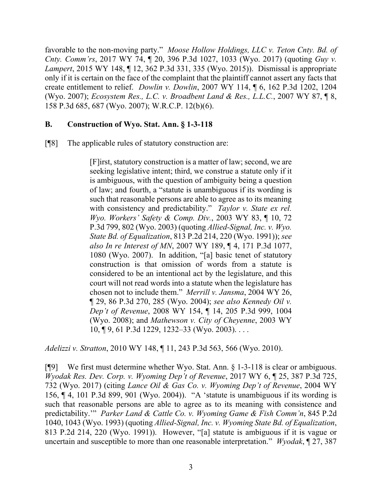favorable to the non-moving party." *Moose Hollow Holdings, LLC v. Teton Cnty. Bd. of Cnty. Comm'rs*, 2017 WY 74, ¶ 20, 396 P.3d 1027, 1033 (Wyo. 2017) (quoting *Guy v. Lampert*, 2015 WY 148, ¶ 12, 362 P.3d 331, 335 (Wyo. 2015)). Dismissal is appropriate only if it is certain on the face of the complaint that the plaintiff cannot assert any facts that create entitlement to relief. *Dowlin v. Dowlin*, 2007 WY 114, ¶ 6, 162 P.3d 1202, 1204 (Wyo. 2007); *Ecosystem Res., L.C. v. Broadbent Land & Res., L.L.C.*, 2007 WY 87, ¶ 8, 158 P.3d 685, 687 (Wyo. 2007); W.R.C.P. 12(b)(6).

## **B. Construction of Wyo. Stat. Ann. § 1-3-118**

[¶8] The applicable rules of statutory construction are:

[F]irst, statutory construction is a matter of law; second, we are seeking legislative intent; third, we construe a statute only if it is ambiguous, with the question of ambiguity being a question of law; and fourth, a "statute is unambiguous if its wording is such that reasonable persons are able to agree as to its meaning with consistency and predictability." *Taylor v. State ex rel. Wyo. Workers' Safety & Comp. Div.*, 2003 WY 83, ¶ 10, 72 P.3d 799, 802 (Wyo. 2003) (quoting *Allied-Signal, Inc. v. Wyo. State Bd. of Equalization*, 813 P.2d 214, 220 (Wyo. 1991)); *see also In re Interest of MN*, 2007 WY 189, ¶ 4, 171 P.3d 1077, 1080 (Wyo. 2007). In addition, "[a] basic tenet of statutory construction is that omission of words from a statute is considered to be an intentional act by the legislature, and this court will not read words into a statute when the legislature has chosen not to include them." *Merrill v. Jansma*, 2004 WY 26, ¶ 29, 86 P.3d 270, 285 (Wyo. 2004); *see also Kennedy Oil v. Dep't of Revenue*, 2008 WY 154, ¶ 14, 205 P.3d 999, 1004 (Wyo. 2008); and *Mathewson v. City of Cheyenne*, 2003 WY 10, ¶ 9, 61 P.3d 1229, 1232–33 (Wyo. 2003). . . .

*Adelizzi v. Stratton*, 2010 WY 148, ¶ 11, 243 P.3d 563, 566 (Wyo. 2010).

[¶9] We first must determine whether Wyo. Stat. Ann. § 1-3-118 is clear or ambiguous. *Wyodak Res. Dev. Corp. v. Wyoming Dep't of Revenue*, 2017 WY 6, ¶ 25, 387 P.3d 725, 732 (Wyo. 2017) (citing *Lance Oil & Gas Co. v. Wyoming Dep't of Revenue*, 2004 WY 156, ¶ 4, 101 P.3d 899, 901 (Wyo. 2004)). "A 'statute is unambiguous if its wording is such that reasonable persons are able to agree as to its meaning with consistence and predictability.'" *Parker Land & Cattle Co. v. Wyoming Game & Fish Comm'n*, 845 P.2d 1040, 1043 (Wyo. 1993) (quoting *Allied-Signal, Inc. v. Wyoming State Bd. of Equalization*, 813 P.2d 214, 220 (Wyo. 1991)). However, "[a] statute is ambiguous if it is vague or uncertain and susceptible to more than one reasonable interpretation." *Wyodak*, ¶ 27, 387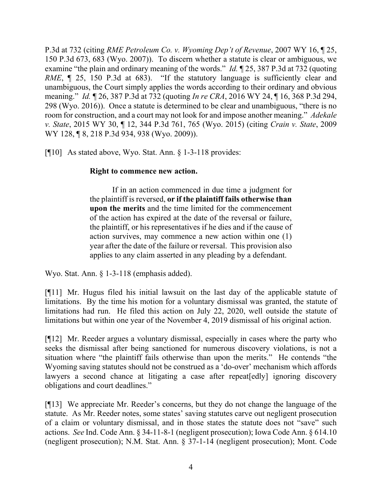P.3d at 732 (citing *RME Petroleum Co. v. Wyoming Dep't of Revenue*, 2007 WY 16, ¶ 25, 150 P.3d 673, 683 (Wyo. 2007)). To discern whether a statute is clear or ambiguous, we examine "the plain and ordinary meaning of the words." *Id.* ¶ 25, 387 P.3d at 732 (quoting *RME*,  $\parallel$  25, 150 P.3d at 683). "If the statutory language is sufficiently clear and unambiguous, the Court simply applies the words according to their ordinary and obvious meaning." *Id.* ¶ 26, 387 P.3d at 732 (quoting *In re CRA*, 2016 WY 24, ¶ 16, 368 P.3d 294, 298 (Wyo. 2016)). Once a statute is determined to be clear and unambiguous, "there is no room for construction, and a court may not look for and impose another meaning." *Adekale v. State*, 2015 WY 30, ¶ 12, 344 P.3d 761, 765 (Wyo. 2015) (citing *Crain v. State*, 2009 WY 128, ¶ 8, 218 P.3d 934, 938 (Wyo. 2009)).

[¶10] As stated above, Wyo. Stat. Ann. § 1-3-118 provides:

## **Right to commence new action.**

If in an action commenced in due time a judgment for the plaintiff is reversed, **or if the plaintiff fails otherwise than upon the merits** and the time limited for the commencement of the action has expired at the date of the reversal or failure, the plaintiff, or his representatives if he dies and if the cause of action survives, may commence a new action within one (1) year after the date of the failure or reversal. This provision also applies to any claim asserted in any pleading by a defendant.

Wyo. Stat. Ann. § 1-3-118 (emphasis added).

[¶11] Mr. Hugus filed his initial lawsuit on the last day of the applicable statute of limitations. By the time his motion for a voluntary dismissal was granted, the statute of limitations had run. He filed this action on July 22, 2020, well outside the statute of limitations but within one year of the November 4, 2019 dismissal of his original action.

[¶12] Mr. Reeder argues a voluntary dismissal, especially in cases where the party who seeks the dismissal after being sanctioned for numerous discovery violations, is not a situation where "the plaintiff fails otherwise than upon the merits." He contends "the Wyoming saving statutes should not be construed as a 'do-over' mechanism which affords lawyers a second chance at litigating a case after repeat [edly] ignoring discovery obligations and court deadlines."

[¶13] We appreciate Mr. Reeder's concerns, but they do not change the language of the statute. As Mr. Reeder notes, some states' saving statutes carve out negligent prosecution of a claim or voluntary dismissal, and in those states the statute does not "save" such actions. *See* Ind. Code Ann. § 34-11-8-1 (negligent prosecution); Iowa Code Ann. § 614.10 (negligent prosecution); N.M. Stat. Ann. § 37-1-14 (negligent prosecution); Mont. Code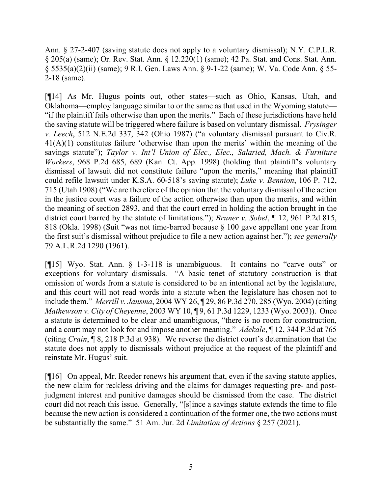Ann. § 27-2-407 (saving statute does not apply to a voluntary dismissal); N.Y. C.P.L.R. § 205(a) (same); Or. Rev. Stat. Ann. § 12.220(1) (same); 42 Pa. Stat. and Cons. Stat. Ann. § 5535(a)(2)(ii) (same); 9 R.I. Gen. Laws Ann. § 9-1-22 (same); W. Va. Code Ann. § 55- 2-18 (same).

[¶14] As Mr. Hugus points out, other states—such as Ohio, Kansas, Utah, and Oklahoma—employ language similar to or the same as that used in the Wyoming statute— "if the plaintiff fails otherwise than upon the merits." Each of these jurisdictions have held the saving statute will be triggered where failure is based on voluntary dismissal. *Frysinger v. Leech*, 512 N.E.2d 337, 342 (Ohio 1987) ("a voluntary dismissal pursuant to Civ.R. 41(A)(1) constitutes failure 'otherwise than upon the merits' within the meaning of the savings statute"); *Taylor v. Int'l Union of Elec., Elec., Salaried, Mach. & Furniture Workers*, 968 P.2d 685, 689 (Kan. Ct. App. 1998) (holding that plaintiff's voluntary dismissal of lawsuit did not constitute failure "upon the merits," meaning that plaintiff could refile lawsuit under K.S.A. 60-518's saving statute); *Luke v. Bennion*, 106 P. 712, 715 (Utah 1908) ("We are therefore of the opinion that the voluntary dismissal of the action in the justice court was a failure of the action otherwise than upon the merits, and within the meaning of section 2893, and that the court erred in holding the action brought in the district court barred by the statute of limitations."); *Bruner v. Sobel*, ¶ 12, 961 P.2d 815, 818 (Okla. 1998) (Suit "was not time-barred because § 100 gave appellant one year from the first suit's dismissal without prejudice to file a new action against her."); *see generally* 79 A.L.R.2d 1290 (1961).

[¶15] Wyo. Stat. Ann. § 1-3-118 is unambiguous. It contains no "carve outs" or exceptions for voluntary dismissals. "A basic tenet of statutory construction is that omission of words from a statute is considered to be an intentional act by the legislature, and this court will not read words into a statute when the legislature has chosen not to include them." *Merrill v. Jansma*, 2004 WY 26, ¶ 29, 86 P.3d 270, 285 (Wyo. 2004) (citing *Mathewson v. City of Cheyenne*, 2003 WY 10, ¶ 9, 61 P.3d 1229, 1233 (Wyo. 2003)). Once a statute is determined to be clear and unambiguous, "there is no room for construction, and a court may not look for and impose another meaning." *Adekale*, ¶ 12, 344 P.3d at 765 (citing *Crain*, ¶ 8, 218 P.3d at 938). We reverse the district court's determination that the statute does not apply to dismissals without prejudice at the request of the plaintiff and reinstate Mr. Hugus' suit.

[¶16] On appeal, Mr. Reeder renews his argument that, even if the saving statute applies, the new claim for reckless driving and the claims for damages requesting pre- and postjudgment interest and punitive damages should be dismissed from the case. The district court did not reach this issue. Generally, "[s]ince a savings statute extends the time to file because the new action is considered a continuation of the former one, the two actions must be substantially the same." 51 Am. Jur. 2d *Limitation of Actions* § 257 (2021).